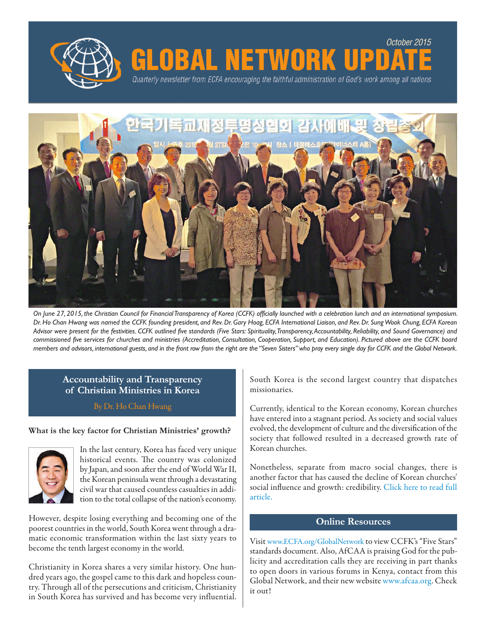



**OBAL NETWORK** 

Quarterly newsletter from ECFA encouraging the faithful administration of God's work among all nations

On June 27, 2015, the Christian Council for Financial Transparency of Korea (CCFK) officially launched with a celebration lunch and an international symposium. Dr. Ho Chan Hwang was named the CCFK founding president, and Rev. Dr. Gary Hoag, ECFA International Liaison, and Rev. Dr. Sung Wook Chung, ECFA Korean Advisor were present for the festivities. CCFK outlined five standards (Five Stars: Spirituality, Transparency, Accountability, Reliability, and Sound Governance) and commissioned five services for churches and ministries (Accreditation, Consultation, Cooperation, Support, and Education). Pictured above are the CCFK board members and advisors, international guests, and in the front row from the right are the "Seven Sisters" who pray every single day for CCFK and the Global Network.

# **Accountability and Transparency of Christian Ministries in Korea**

By Dr. Ho Chan Hwang

#### **What is the key factor for Christian Ministries' growth?**



In the last century, Korea has faced very unique historical events. The country was colonized by Japan, and soon after the end of World War II, the Korean peninsula went through a devastating civil war that caused countless casualties in addition to the total collapse of the nation's economy.

However, despite losing everything and becoming one of the poorest countries in the world, South Korea went through a dramatic economic transformation within the last sixty years to become the tenth largest economy in the world.

Christianity in Korea shares a very similar history. One hundred years ago, the gospel came to this dark and hopeless country. Through all of the persecutionsand criticism, Christianity in South Korea has survived and has become very influential. South Korea is the second largest country that dispatches missionaries.

*October 2015*

Currently, identical to the Korean economy, Korean churches have entered into a stagnant period. As society and social values evolved, the development of culture and the diversification of the society that followed resulted in a decreased growth rate of Korean churches.

Nonetheless, separate from macro social changes, there is another factor that has caused the decline of Korean churches' social influence and growth: credibility. [Click](http://www.ecfa.org/PDF/Accountability%20and%20Transparency%20of%20Christian%20Ministries%20in%20Korea.pdf) here to read full [article.](http://www.ecfa.org/PDF/Accountability%20and%20Transparency%20of%20Christian%20Ministries%20in%20Korea.pdf)

### **Online Resources**

Visit www.ECFA.org/GlobalNetwork to view CCFK's"Five Stars" standards document. Also, AfCAA is praising God for the publicity and accreditation calls they are receiving in part thanks to open doors in various forums in Kenya, contact from this Global Network, and their new website www.afcaa.org. Check it out!